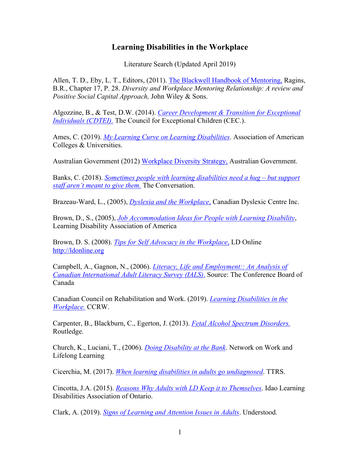## **Learning Disabilities in the Workplace**

Literature Search (Updated April 2019)

Allen, T. D., Eby, L. T., Editors, (2011). The Blackwell Handbook of Mentoring, Ragins, B.R., Chapter 17, P. 28. *Diversity and Workplace Mentoring Relationship: A review and Positive Social Capital Approach,* John Wiley & Sons.

Algozzine, B., & Test, D.W. (2014). *Career Development & Transition for Exceptional Individuals (CDTEI)*. The Council for Exceptional Children (CEC.).

Ames, C. (2019). *My Learning Curve on Learning Disabilities*. Association of American Colleges & Universities.

Australian Government (2012) Workplace Diversity Strategy, Australian Government.

Banks, C. (2018). *Sometimes people with learning disabilities need a hug – but support staff aren't meant to give them.* The Conversation.

Brazeau-Ward, L., (2005), *Dyslexia and the Workplace*, Canadian Dyslexic Centre Inc.

Brown, D., S., (2005), *Job Accommodation Ideas for People with Learning Disability*, Learning Disability Association of America

Brown, D. S. (2008). *Tips for Self Advocacy in the Workplace*, LD Online http://ldonline.org

Campbell, A., Gagnon, N., (2006). *Literacy, Life and Employment:: An Analysis of Canadian International Adult Literacy Survey (IALS)*. Source: The Conference Board of Canada

Canadian Council on Rehabilitation and Work. (2019). *Learning Disabilities in the Workplace.* CCRW.

Carpenter, B., Blackburn, C., Egerton, J. (2013). *Fetal Alcohol Spectrum Disorders.* Routledge.

Church, K., Luciani, T., (2006). *Doing Disability at the Bank*. Network on Work and Lifelong Learning

Cicerchia, M. (2017). *When learning disabilities in adults go undiagnosed*. TTRS.

Cincotta, J.A. (2015). *Reasons Why Adults with LD Keep it to Themselves*. Idao Learning Disabilities Association of Ontario.

Clark, A. (2019). *Signs of Learning and Attention Issues in Adults*. Understood.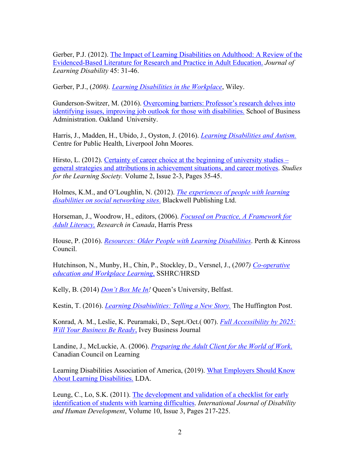Gerber, P.J. (2012). The Impact of Learning Disabilities on Adulthood: A Review of the Evidenced-Based Literature for Research and Practice in Adult Education. *Journal of Learning Disability* 45: 31-46.

Gerber, P.J., (*2008). Learning Disabilities in the Workplace*, Wiley.

Gunderson-Switzer, M. (2016). Overcoming barriers: Professor's research delves into identifying issues, improving job outlook for those with disabilities. School of Business Administration. Oakland University.

Harris, J., Madden, H., Ubido, J., Oyston, J. (2016). *Learning Disabilities and Autism.* Centre for Public Health, Liverpool John Moores.

Hirsto, L. (2012). Certainty of career choice at the beginning of university studies – general strategies and attributions in achievement situations, and career motives. *Studies for the Learning Society.* Volume 2, Issue 2-3, Pages 35-45.

Holmes, K.M., and O'Loughlin, N. (2012). *The experiences of people with learning disabilities on social networking sites*. Blackwell Publishing Ltd.

Horseman, J., Woodrow, H., editors, (2006). *Focused on Practice, A Framework for Adult Literacy, Research in Canada*, Harris Press

House, P. (2016). *Resources: Older People with Learning Disabilities*. Perth & Kinross Council.

Hutchinson, N., Munby, H., Chin, P., Stockley, D., Versnel, J., (*2007) Co-operative education and Workplace Learning*, SSHRC/HRSD

Kelly, B. (2014) *Don't Box Me In!* Queen's University, Belfast.

Kestin, T. (2016). *Learning Disabiulities: Telling a New Story.* The Huffington Post.

Konrad, A. M., Leslie, K. Peuramaki, D., Sept./Oct.( 007). *Full Accessibility by 2025: Will Your Business Be Ready*, Ivey Business Journal

Landine, J., McLuckie, A. (2006). *Preparing the Adult Client for the World of Work*. Canadian Council on Learning

Learning Disabilities Association of America, (2019). What Employers Should Know About Learning Disabilities. LDA.

Leung, C., Lo, S.K. (2011). The development and validation of a checklist for early identification of students with learning difficulties. *International Journal of Disability and Human Development*, Volume 10, Issue 3, Pages 217-225.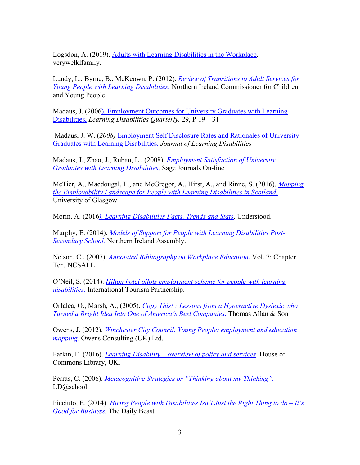Logsdon, A. (2019). Adults with Learning Disabilities in the Workplace. verywelklfamily.

Lundy, L., Byrne, B., McKeown, P. (2012). *Review of Transitions to Adult Services for Young People with Learning Disabilities.* Northern Ireland Commissioner for Children and Young People.

Madaus, J. (2006). Employment Outcomes for University Graduates with Learning Disabilities, *Learning Disabilities Quarterly,* 29, P 19 – 31

Madaus, J. W. (*2008)* Employment Self Disclosure Rates and Rationales of University Graduates with Learning Disabilities*, Journal of Learning Disabilities*

Madaus, J., Zhao, J., Ruban, L., (2008). *Employment Satisfaction of University Graduates with Learning Disabilities*, Sage Journals On-line

McTier, A., Macdougal, L., and McGregor, A., Hirst, A., and Rinne, S. (2016). *Mapping the Employability Landscape for People with Learning Disabilities in Scotland.* University of Glasgow.

Morin, A. (2016*). Learning Disabilities Facts, Trends and Stats*. Understood.

Murphy, E. (2014). *Models of Support for People with Learning Disabilities Post-Secondary School.* Northern Ireland Assembly.

Nelson, C., (2007). *Annotated Bibliography on Workplace Education*, Vol. 7: Chapter Ten, NCSALL

O'Neil, S. (2014). *Hilton hotel pilots employment scheme for people with learning disabilities.* International Tourism Partnership.

Orfalea, O., Marsh, A., (2005). *Copy This! : Lessons from a Hyperactive Dyslexic who Turned a Bright Idea Into One of America's Best Companies*, Thomas Allan & Son

Owens, J. (2012). *Winchester City Council. Young People: employment and education mapping.* Owens Consulting (UK) Ltd.

Parkin, E. (2016). *Learning Disability – overview of policy and services*. House of Commons Library, UK.

Perras, C. (2006). *Metacognitive Strategies or "Thinking about my Thinking".* LD@school.

Picciuto, E. (2014). *Hiring People with Disabilities Isn't Just the Right Thing to do – It's Good for Business.* The Daily Beast.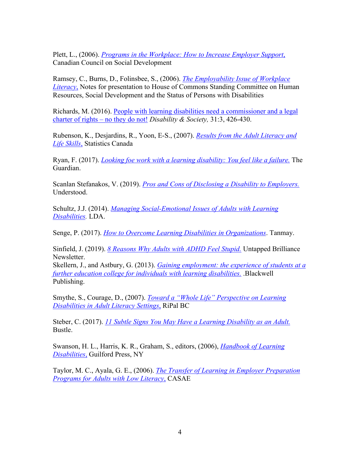Plett, L., (2006). *Programs in the Workplace: How to Increase Employer Support*, Canadian Council on Social Development

Ramsey, C., Burns, D., Folinsbee, S., (2006). *The Employability Issue of Workplace Literacy*, Notes for presentation to House of Commons Standing Committee on Human Resources, Social Development and the Status of Persons with Disabilities

Richards, M. (2016). People with learning disabilities need a commissioner and a legal charter of rights – no they do not! *Disability & Society,* 31:3, 426-430.

Rubenson, K., Desjardins, R., Yoon, E-S., (2007). *Results from the Adult Literacy and Life Skills*, Statistics Canada

Ryan, F. (2017). *Looking foe work with a learning disability: You feel like a failure.* The Guardian.

Scanlan Stefanakos, V. (2019). *Pros and Cons of Disclosing a Disability to Employers.* Understood.

Schultz, J.J. (2014). *Managing Social-Emotional Issues of Adults with Learning Disabilities.* LDA.

Senge, P. (2017). *How to Overcome Learning Disabilities in Organizations*. Tanmay.

Sinfield, J. (2019). *8 Reasons Why Adults with ADHD Feel Stupid.* Untapped Brilliance Newsletter.

Skellern, J., and Astbury, G. (2013). *Gaining employment: the experience of students at a further education college for individuals with learning disabilities.* .Blackwell Publishing.

Smythe, S., Courage, D., (2007). *Toward a "Whole Life" Perspective on Learning Disabilities in Adult Literacy Settings*, RiPal BC

Steber, C. (2017). *11 Subtle Signs You May Have a Learning Disability as an Adult.* Bustle.

Swanson, H. L., Harris, K. R., Graham, S., editors, (2006), *Handbook of Learning Disabilities*, Guilford Press, NY

Taylor, M. C., Ayala, G. E., (2006). *The Transfer of Learning in Employer Preparation Programs for Adults with Low Literacy*, CASAE